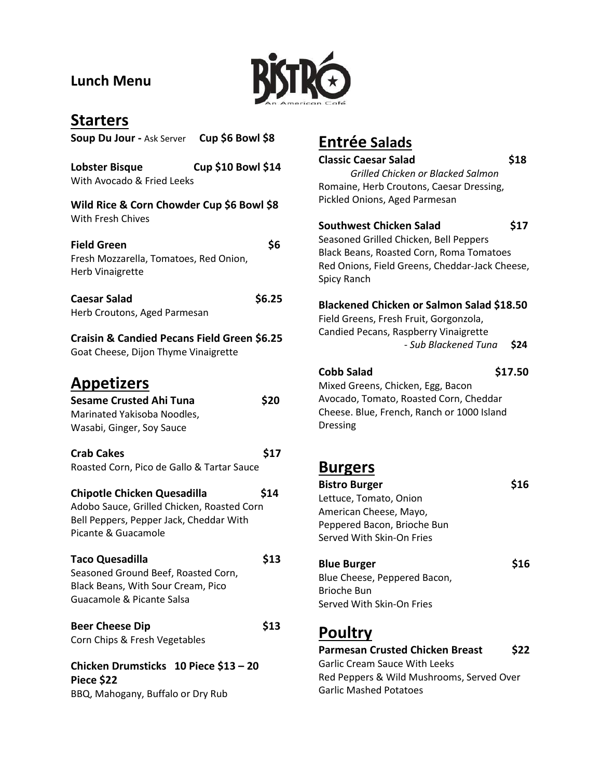### **Lunch Menu**



## **Starters**

| Soup Du Jour - Ask Server Cup \$6 Bowl \$8                                                                                                                 |
|------------------------------------------------------------------------------------------------------------------------------------------------------------|
| <b>Cup \$10 Bowl \$14</b><br>Lobster Bisque<br>With Avocado & Fried Leeks                                                                                  |
| Wild Rice & Corn Chowder Cup \$6 Bowl \$8<br><b>With Fresh Chives</b>                                                                                      |
| \$6<br><b>Field Green</b><br>Fresh Mozzarella, Tomatoes, Red Onion,<br><b>Herb Vinaigrette</b>                                                             |
| \$6.25<br><b>Caesar Salad</b><br>Herb Croutons, Aged Parmesan                                                                                              |
| Craisin & Candied Pecans Field Green \$6.25<br>Goat Cheese, Dijon Thyme Vinaigrette                                                                        |
| <b>Appetizers</b><br><b>Sesame Crusted Ahi Tuna</b><br>\$20<br>Marinated Yakisoba Noodles,<br>Wasabi, Ginger, Soy Sauce                                    |
| \$17<br><b>Crab Cakes</b><br>Roasted Corn, Pico de Gallo & Tartar Sauce                                                                                    |
| \$14<br><b>Chipotle Chicken Quesadilla</b><br>Adobo Sauce, Grilled Chicken, Roasted Corn<br>Bell Peppers, Pepper Jack, Cheddar With<br>Picante & Guacamole |
| <b>Taco Quesadilla</b><br>\$13<br>Seasoned Ground Beef, Roasted Corn,<br>Black Beans, With Sour Cream, Pico<br>Guacamole & Picante Salsa                   |
| <b>Beer Cheese Dip</b><br>\$13<br>Corn Chips & Fresh Vegetables                                                                                            |
| Chicken Drumsticks 10 Piece \$13 - 20<br>Piece \$22<br>BBQ, Mahogany, Buffalo or Dry Rub                                                                   |

# **Entrée Salads**

| <b>Classic Caesar Salad</b>                      |     |
|--------------------------------------------------|-----|
| Grilled Chicken or Blacked Salmon                |     |
| Romaine, Herb Croutons, Caesar Dressing,         |     |
| Pickled Onions, Aged Parmesan                    |     |
| Southwest Chicken Salad                          | S17 |
| Seasoned Grilled Chicken, Bell Peppers           |     |
| Black Beans, Roasted Corn, Roma Tomatoes         |     |
| Red Onions, Field Greens, Cheddar-Jack Cheese,   |     |
| Spicy Ranch                                      |     |
| <b>Blackened Chicken or Salmon Salad \$18.50</b> |     |
| Field Greens, Fresh Fruit, Gorgonzola,           |     |
| Candied Pecans, Raspberry Vinaigrette            |     |

- *Sub Blackened Tuna* **\$24**

#### **Cobb Salad \$17.50**

Mixed Greens, Chicken, Egg, Bacon Avocado, Tomato, Roasted Corn, Cheddar Cheese. Blue, French, Ranch or 1000 Island Dressing

### **Burgers**

| <b>Bistro Burger</b>                   |     |
|----------------------------------------|-----|
| Lettuce, Tomato, Onion                 |     |
| American Cheese, Mayo,                 |     |
| Peppered Bacon, Brioche Bun            |     |
| Served With Skin-On Fries              |     |
| <b>Blue Burger</b>                     | S16 |
| Blue Cheese, Peppered Bacon,           |     |
| Brioche Bun                            |     |
| Served With Skin-On Fries              |     |
| <b>Poultry</b>                         |     |
| <b>Parmesan Crusted Chicken Breast</b> |     |
|                                        |     |

Garlic Cream Sauce With Leeks Red Peppers & Wild Mushrooms, Served Over Garlic Mashed Potatoes